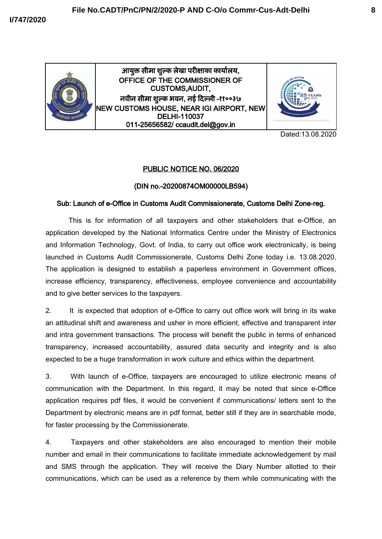

आयुक्त सीमा शुल्क ले
खा परीक्षाका कायुलेयु, OFFICE OF THE COMMISSIONER OF CUSTOMS,AUDIT, नवीन सीमा शुल्क भवन, नई दिल्ली -११००३७ NEW CUSTOMS HOUSE, NEAR IGI AIRPORT, NEW DELHI-110037 011-25656582/ ccaudit.del@gov.in



Dated:13.08.2020

## PUBLIC NOTICE NO. 06/2020

## (DIN no.-20200874OM00000LB594)

## Sub: Launch of e-Office in Customs Audit Commissionerate, Customs Delhi Zone-reg.

This is for information of all taxpayers and other stakeholders that e-Office, an application developed by the National Informatics Centre under the Ministry of Electronics and Information Technology, Govt. of India, to carry out office work electronically, is being launched in Customs Audit Commissionerate, Customs Delhi Zone today i.e. 13.08.2020. The application is designed to establish a paperless environment in Government offices, increase efficiency, transparency, effectiveness, employee convenience and accountability and to give better services to the taxpayers.

2. It is expected that adoption of e-Office to carry out office work will bring in its wake an attitudinal shift and awareness and usher in more efficient, effective and transparent inter and intra government transactions. The process will benefit the public in terms of enhanced transparency, increased accountability, assured data security and integrity and is also expected to be a huge transformation in work culture and ethics within the department.

3. With launch of e-Office, taxpayers are encouraged to utilize electronic means of communication with the Department. In this regard, it may be noted that since e-Office application requires pdf files, it would be convenient if communications/ letters sent to the Department by electronic means are in pdf format, better still if they are in searchable mode, for faster processing by the Commissionerate.

4. Taxpayers and other stakeholders are also encouraged to mention their mobile number and email in their communications to facilitate immediate acknowledgement by mail and SMS through the application. They will receive the Diary Number allotted to their communications, which can be used as a reference by them while communicating with the